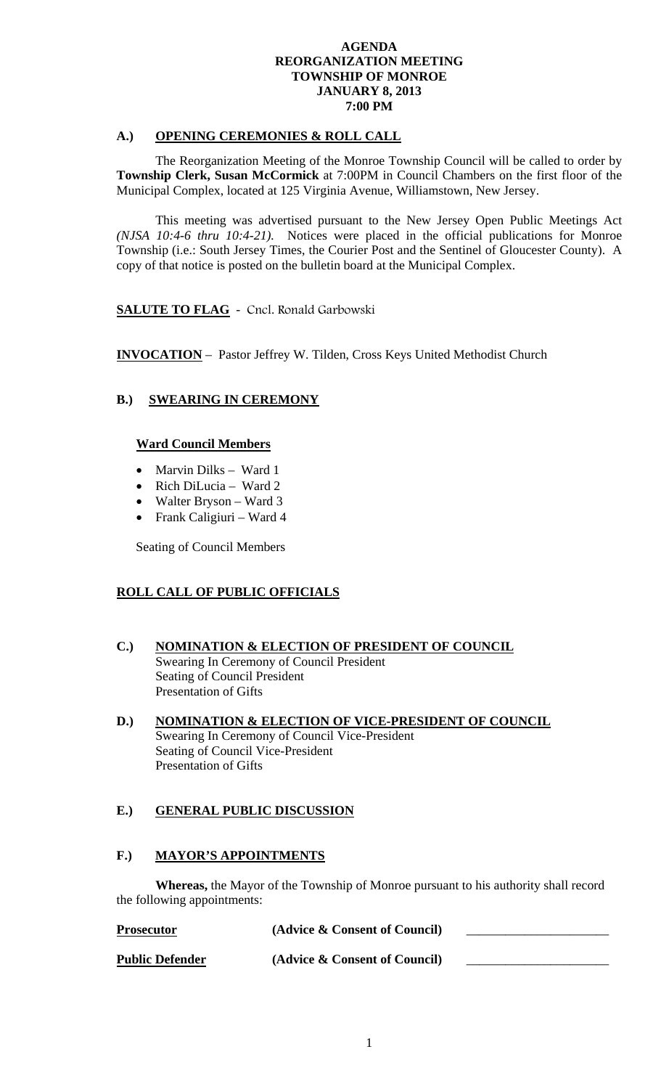### **A.) OPENING CEREMONIES & ROLL CALL**

 The Reorganization Meeting of the Monroe Township Council will be called to order by **Township Clerk, Susan McCormick** at 7:00PM in Council Chambers on the first floor of the Municipal Complex, located at 125 Virginia Avenue, Williamstown, New Jersey.

 This meeting was advertised pursuant to the New Jersey Open Public Meetings Act *(NJSA 10:4-6 thru 10:4-21).* Notices were placed in the official publications for Monroe Township (i.e.: South Jersey Times, the Courier Post and the Sentinel of Gloucester County). A copy of that notice is posted on the bulletin board at the Municipal Complex.

# **SALUTE TO FLAG** - Cncl. Ronald Garbowski

**INVOCATION** – Pastor Jeffrey W. Tilden, Cross Keys United Methodist Church

# **B.) SWEARING IN CEREMONY**

# **Ward Council Members**

- Marvin Dilks Ward 1
- Rich DiLucia Ward 2
- Walter Bryson Ward 3
- Frank Caligiuri Ward 4

Seating of Council Members

# **ROLL CALL OF PUBLIC OFFICIALS**

- **C.) NOMINATION & ELECTION OF PRESIDENT OF COUNCIL** Swearing In Ceremony of Council President Seating of Council President Presentation of Gifts
- **D.) NOMINATION & ELECTION OF VICE-PRESIDENT OF COUNCIL** Swearing In Ceremony of Council Vice-President Seating of Council Vice-President Presentation of Gifts

# **E.) GENERAL PUBLIC DISCUSSION**

### **F.) MAYOR'S APPOINTMENTS**

**Whereas,** the Mayor of the Township of Monroe pursuant to his authority shall record the following appointments:

| <b>Prosecutor</b>      | (Advice & Consent of Council) |  |
|------------------------|-------------------------------|--|
| <b>Public Defender</b> | (Advice & Consent of Council) |  |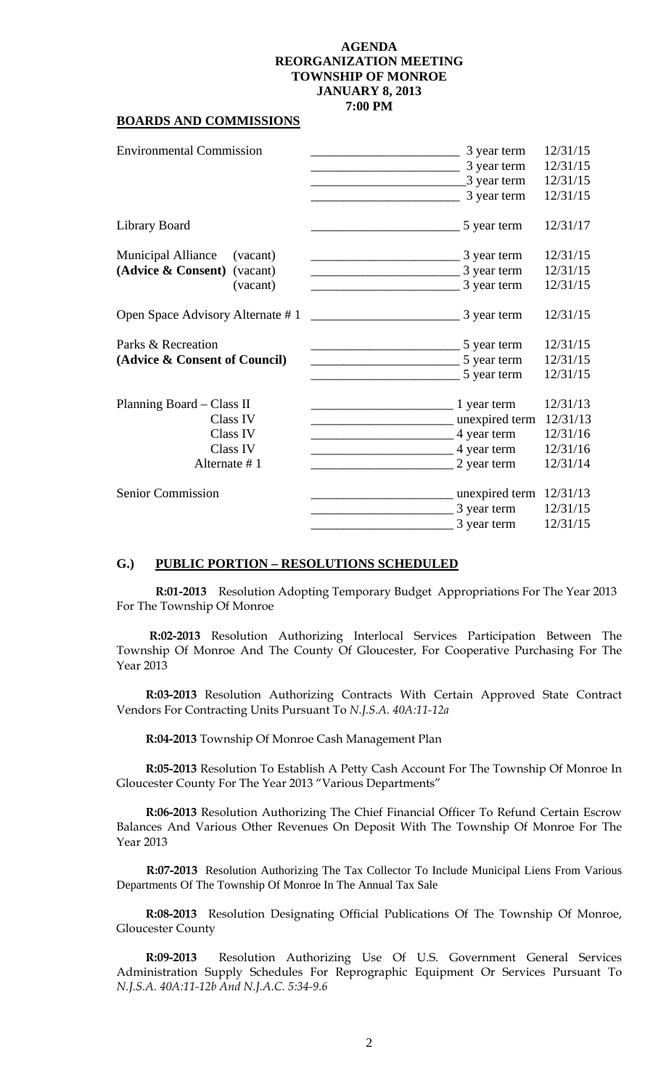#### **BOARDS AND COMMISSIONS**

| <b>Environmental Commission</b>                                                     | 3 year term<br>3 year term<br>3 year term<br>3 year term                                  | 12/31/15<br>12/31/15<br>12/31/15<br>12/31/15             |
|-------------------------------------------------------------------------------------|-------------------------------------------------------------------------------------------|----------------------------------------------------------|
| Library Board                                                                       | 5 year term                                                                               | 12/31/17                                                 |
| <b>Municipal Alliance</b><br>(vacant)<br>(Advice & Consent)<br>(vacant)<br>(vacant) | 3 year term<br>3 year term<br>3 year term                                                 | 12/31/15<br>12/31/15<br>12/31/15                         |
| Open Space Advisory Alternate #1                                                    | 3 year term                                                                               | 12/31/15                                                 |
| Parks & Recreation<br>(Advice & Consent of Council)                                 | 5 year term<br>5 year term<br>5 year term                                                 | 12/31/15<br>12/31/15<br>12/31/15                         |
| Planning Board – Class II<br>Class IV<br>Class IV<br>Class IV<br>Alternate #1       | $\frac{1}{2}$ year term<br>__ unexpired term<br>4 year term<br>4 year term<br>2 year term | 12/31/13<br>12/31/13<br>12/31/16<br>12/31/16<br>12/31/14 |
| <b>Senior Commission</b>                                                            | unexpired term<br>3 year term<br>3 year term                                              | 12/31/13<br>12/31/15<br>12/31/15                         |

#### **G.) PUBLIC PORTION – RESOLUTIONS SCHEDULED**

**R:01-2013** Resolution Adopting Temporary Budget Appropriations For The Year 2013 For The Township Of Monroe

 **R:02-2013** Resolution Authorizing Interlocal Services Participation Between The Township Of Monroe And The County Of Gloucester, For Cooperative Purchasing For The Year 2013

**R:03-2013** Resolution Authorizing Contracts With Certain Approved State Contract Vendors For Contracting Units Pursuant To *N.J.S.A. 40A:11-12a* 

**R:04-2013** Township Of Monroe Cash Management Plan

**R:05-2013** Resolution To Establish A Petty Cash Account For The Township Of Monroe In Gloucester County For The Year 2013 "Various Departments"

**R:06-2013** Resolution Authorizing The Chief Financial Officer To Refund Certain Escrow Balances And Various Other Revenues On Deposit With The Township Of Monroe For The Year 2013

 **R:07-2013** Resolution Authorizing The Tax Collector To Include Municipal Liens From Various Departments Of The Township Of Monroe In The Annual Tax Sale

**R:08-2013** Resolution Designating Official Publications Of The Township Of Monroe, Gloucester County

**R:09-2013** Resolution Authorizing Use Of U.S. Government General Services Administration Supply Schedules For Reprographic Equipment Or Services Pursuant To *N.J.S.A. 40A:11-12b And N.J.A.C. 5:34-9.6*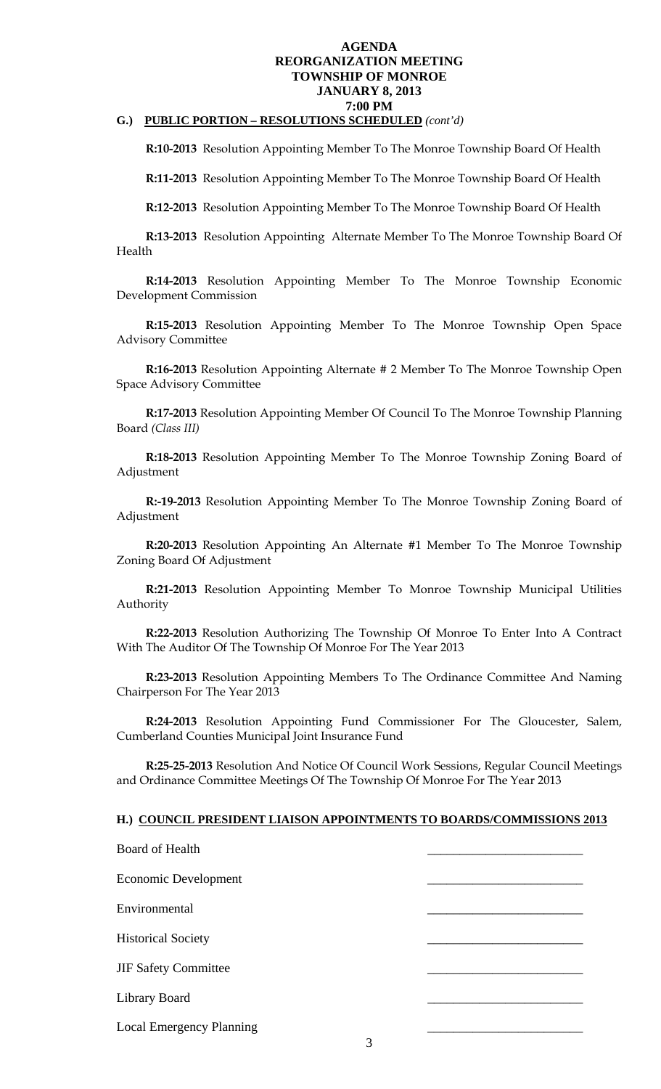# **G.) PUBLIC PORTION – RESOLUTIONS SCHEDULED** *(cont'd)*

**R:10-2013** Resolution Appointing Member To The Monroe Township Board Of Health

**R:11-2013** Resolution Appointing Member To The Monroe Township Board Of Health

**R:12-2013** Resolution Appointing Member To The Monroe Township Board Of Health

**R:13-2013** Resolution Appointing Alternate Member To The Monroe Township Board Of Health

**R:14-2013** Resolution Appointing Member To The Monroe Township Economic Development Commission

**R:15-2013** Resolution Appointing Member To The Monroe Township Open Space Advisory Committee

**R:16-2013** Resolution Appointing Alternate # 2 Member To The Monroe Township Open Space Advisory Committee

**R:17-2013** Resolution Appointing Member Of Council To The Monroe Township Planning Board *(Class III)* 

**R:18-2013** Resolution Appointing Member To The Monroe Township Zoning Board of Adjustment

**R:-19-2013** Resolution Appointing Member To The Monroe Township Zoning Board of Adjustment

**R:20-2013** Resolution Appointing An Alternate #1 Member To The Monroe Township Zoning Board Of Adjustment

**R:21-2013** Resolution Appointing Member To Monroe Township Municipal Utilities Authority

**R:22-2013** Resolution Authorizing The Township Of Monroe To Enter Into A Contract With The Auditor Of The Township Of Monroe For The Year 2013

**R:23-2013** Resolution Appointing Members To The Ordinance Committee And Naming Chairperson For The Year 2013

**R:24-2013** Resolution Appointing Fund Commissioner For The Gloucester, Salem, Cumberland Counties Municipal Joint Insurance Fund

**R:25-25-2013** Resolution And Notice Of Council Work Sessions, Regular Council Meetings and Ordinance Committee Meetings Of The Township Of Monroe For The Year 2013

#### **H.) COUNCIL PRESIDENT LIAISON APPOINTMENTS TO BOARDS/COMMISSIONS 2013**

| <b>Board of Health</b>                    |  |
|-------------------------------------------|--|
| <b>Economic Development</b>               |  |
| Environmental                             |  |
| <b>Historical Society</b>                 |  |
| <b>JIF Safety Committee</b>               |  |
| <b>Library Board</b>                      |  |
| <b>Local Emergency Planning</b><br>$\sim$ |  |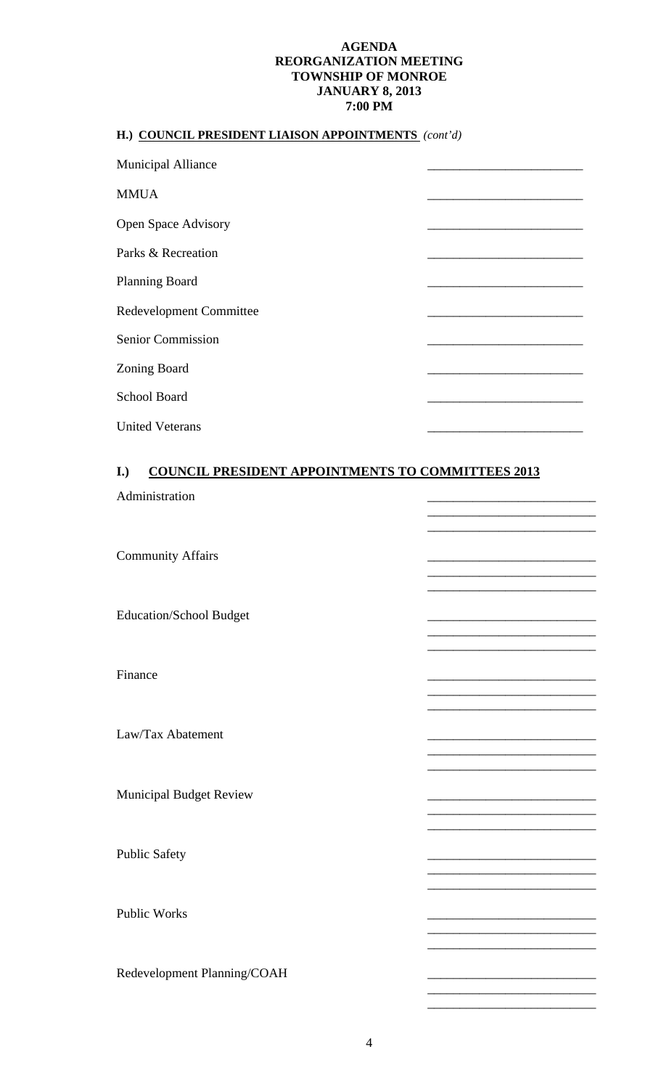# **H.) COUNCIL PRESIDENT LIAISON APPOINTMENTS** *(cont'd)*

| <b>Municipal Alliance</b>      |  |
|--------------------------------|--|
| <b>MMUA</b>                    |  |
| <b>Open Space Advisory</b>     |  |
| Parks & Recreation             |  |
| <b>Planning Board</b>          |  |
| <b>Redevelopment Committee</b> |  |
| <b>Senior Commission</b>       |  |
| <b>Zoning Board</b>            |  |
| <b>School Board</b>            |  |
| <b>United Veterans</b>         |  |

# **I.) COUNCIL PRESIDENT APPOINTMENTS TO COMMITTEES 2013**

| Administration                 |                                                                                                                                                                                                                                      |
|--------------------------------|--------------------------------------------------------------------------------------------------------------------------------------------------------------------------------------------------------------------------------------|
| <b>Community Affairs</b>       |                                                                                                                                                                                                                                      |
| <b>Education/School Budget</b> | <u> 1980 - Andrea Aonaich, ann an t-Aonaich an t-Aonaich an t-Aonaich an t-Aonaich an t-Aonaich an t-Aonaich an t-Aonaich an t-Aonaich an t-Aonaich ann an t-Aonaich an t-Aonaich an t-Aonaich an t-Aonaich an t-Aonaich an t-Ao</u> |
| Finance                        | <u> 1989 - Johann John Stone, mars et al. (</u>                                                                                                                                                                                      |
| Law/Tax Abatement              |                                                                                                                                                                                                                                      |
| <b>Municipal Budget Review</b> |                                                                                                                                                                                                                                      |
| <b>Public Safety</b>           |                                                                                                                                                                                                                                      |
| <b>Public Works</b>            |                                                                                                                                                                                                                                      |
| Redevelopment Planning/COAH    | <u> 1999 - Johann John Harry Harry Harry Harry Harry Harry Harry Harry Harry Harry Harry Harry Harry Harry Harry Harry Harry Harry Harry Harry Harry Harry Harry Harry Harry Harry Harry Harry Harry Harry Harry Harry Harry Har</u> |